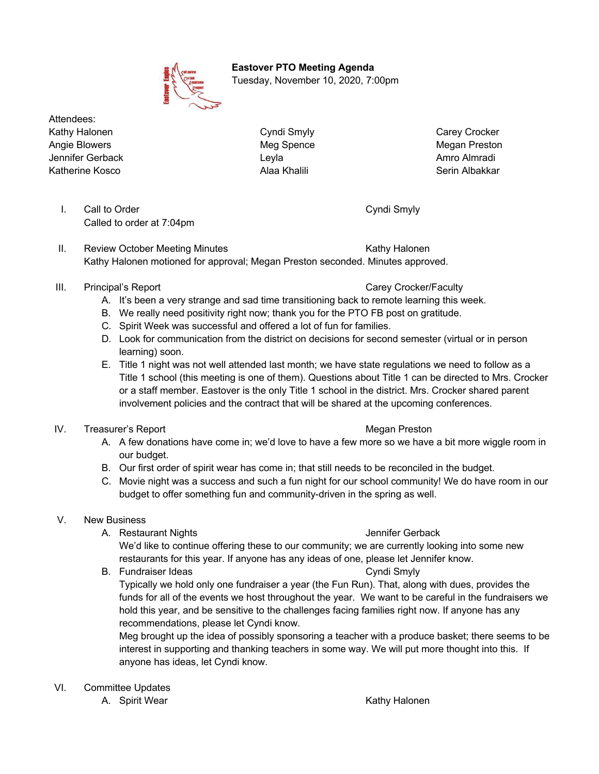**Eastover PTO Meeting Agenda** Tuesday, November 10, 2020, 7:00pm

Attendees: Kathy Halonen **Cyndi Smyly Carey Carey Crocker** Cyndi Smyly Carey Carey Crocker Angie Blowers **Megan Preston** Meg Spence **Megan Preston** Megan Preston Jennifer Gerback Leyla Amro Almradi Katherine Kosco New York Serin Alaa Khalili New York Serin Albakkar

I. Call to Order Cyndi Smyly Called to order at 7:04pm

II. Review October Meeting Minutes **Kathy Halonen** Kathy Halonen Kathy Halonen motioned for approval; Megan Preston seconded. Minutes approved.

- III. Principal's Report Carey Crocker/Faculty
	- A. It's been a very strange and sad time transitioning back to remote learning this week.
	- B. We really need positivity right now; thank you for the PTO FB post on gratitude.
	- C. Spirit Week was successful and offered a lot of fun for families.
	- D. Look for communication from the district on decisions for second semester (virtual or in person learning) soon.
	- E. Title 1 night was not well attended last month; we have state regulations we need to follow as a Title 1 school (this meeting is one of them). Questions about Title 1 can be directed to Mrs. Crocker or a staff member. Eastover is the only Title 1 school in the district. Mrs. Crocker shared parent involvement policies and the contract that will be shared at the upcoming conferences.
- IV. Treasurer's Report **Megan Preston** Megan Preston
	- A. A few donations have come in; we'd love to have a few more so we have a bit more wiggle room in our budget.
	- B. Our first order of spirit wear has come in; that still needs to be reconciled in the budget.
	- C. Movie night was a success and such a fun night for our school community! We do have room in our budget to offer something fun and community-driven in the spring as well.

# V. New Business

A. Restaurant Nights Jennifer Gerback

We'd like to continue offering these to our community; we are currently looking into some new restaurants for this year. If anyone has any ideas of one, please let Jennifer know.

B. Fundraiser Ideas Cyndi Smyly

Typically we hold only one fundraiser a year (the Fun Run). That, along with dues, provides the funds for all of the events we host throughout the year. We want to be careful in the fundraisers we hold this year, and be sensitive to the challenges facing families right now. If anyone has any recommendations, please let Cyndi know.

Meg brought up the idea of possibly sponsoring a teacher with a produce basket; there seems to be interest in supporting and thanking teachers in some way. We will put more thought into this. If anyone has ideas, let Cyndi know.

VI. Committee Updates

A. Spirit Wear Kathy Halonen Superinten and the Mathy Halonen Kathy Halonen